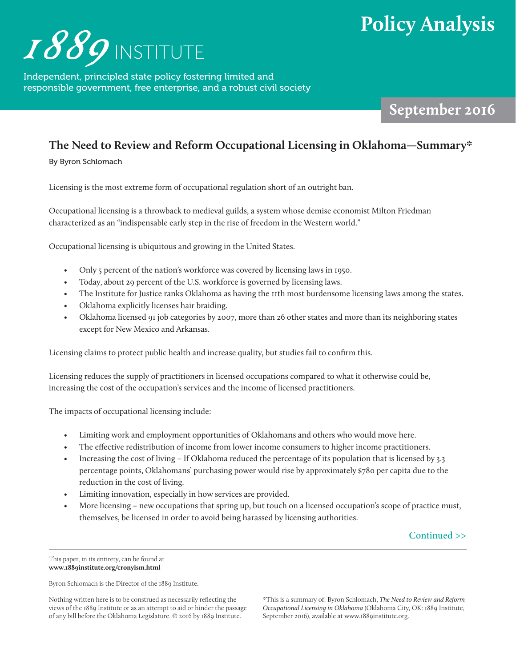## **Policy Analysis**



Independent, principled state policy fostering limited and responsible government, free enterprise, and a robust civil society

September 2016

## **The Need to Review and Reform Occupational Licensing in Oklahoma—Summary\***

By Byron Schlomach

Licensing is the most extreme form of occupational regulation short of an outright ban.

Occupational licensing is a throwback to medieval guilds, a system whose demise economist Milton Friedman characterized as an "indispensable early step in the rise of freedom in the Western world."

Occupational licensing is ubiquitous and growing in the United States.

- Only 5 percent of the nation's workforce was covered by licensing laws in 1950.
- Today, about 29 percent of the U.S. workforce is governed by licensing laws.
- The Institute for Justice ranks Oklahoma as having the 11th most burdensome licensing laws among the states.
- Oklahoma explicitly licenses hair braiding.
- Oklahoma licensed 91 job categories by 2007, more than 26 other states and more than its neighboring states except for New Mexico and Arkansas.

Licensing claims to protect public health and increase quality, but studies fail to confirm this.

Licensing reduces the supply of practitioners in licensed occupations compared to what it otherwise could be, increasing the cost of the occupation's services and the income of licensed practitioners.

The impacts of occupational licensing include:

- Limiting work and employment opportunities of Oklahomans and others who would move here.
- The effective redistribution of income from lower income consumers to higher income practitioners.
- Increasing the cost of living If Oklahoma reduced the percentage of its population that is licensed by 3.3 percentage points, Oklahomans' purchasing power would rise by approximately \$780 per capita due to the reduction in the cost of living.
- Limiting innovation, especially in how services are provided.
- More licensing new occupations that spring up, but touch on a licensed occupation's scope of practice must, themselves, be licensed in order to avoid being harassed by licensing authorities.



This paper, in its entirety, can be found at **www.1889institute.org/cronyism.html**

Byron Schlomach is the Director of the 1889 Institute.

Nothing written here is to be construed as necessarily reflecting the views of the 1889 Institute or as an attempt to aid or hinder the passage of any bill before the Oklahoma Legislature. © 2016 by 1889 Institute.

\*This is a summary of: Byron Schlomach, *The Need to Review and Reform Occupational Licensing in Oklahoma* (Oklahoma City, OK: 1889 Institute, September 2016), available at www.1889institute.org.